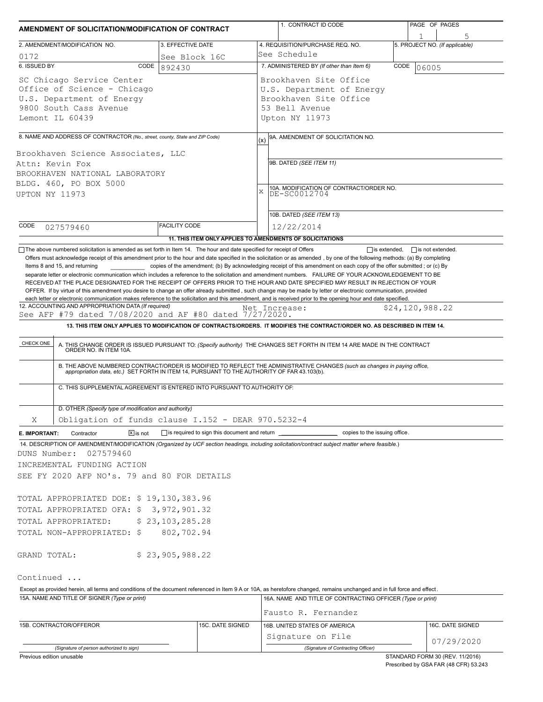| AMENDMENT OF SOLICITATION/MODIFICATION OF CONTRACT                                                                                                                                                                                                                                                                    |                      |                  |                                                                                                                                                                                 | 1. CONTRACT ID CODE                                                                                                                                                                                                                                                                              |  | PAGE OF PAGES                  |  |  |  |
|-----------------------------------------------------------------------------------------------------------------------------------------------------------------------------------------------------------------------------------------------------------------------------------------------------------------------|----------------------|------------------|---------------------------------------------------------------------------------------------------------------------------------------------------------------------------------|--------------------------------------------------------------------------------------------------------------------------------------------------------------------------------------------------------------------------------------------------------------------------------------------------|--|--------------------------------|--|--|--|
|                                                                                                                                                                                                                                                                                                                       |                      |                  |                                                                                                                                                                                 |                                                                                                                                                                                                                                                                                                  |  | 5                              |  |  |  |
| 2. AMENDMENT/MODIFICATION NO.                                                                                                                                                                                                                                                                                         | 3. EFFECTIVE DATE    |                  |                                                                                                                                                                                 | 4. REQUISITION/PURCHASE REQ. NO.                                                                                                                                                                                                                                                                 |  | 5. PROJECT NO. (If applicable) |  |  |  |
| 0172                                                                                                                                                                                                                                                                                                                  | See Block 16C        |                  | See Schedule                                                                                                                                                                    |                                                                                                                                                                                                                                                                                                  |  |                                |  |  |  |
| 6. ISSUED BY<br>CODE<br>892430<br>SC Chicago Service Center<br>Office of Science - Chicago<br>U.S. Department of Energy<br>9800 South Cass Avenue<br>Lemont IL 60439                                                                                                                                                  |                      |                  | 7. ADMINISTERED BY (If other than Item 6)<br>CODE<br>06005<br>Brookhaven Site Office<br>U.S. Department of Energy<br>Brookhaven Site Office<br>53 Bell Avenue<br>Upton NY 11973 |                                                                                                                                                                                                                                                                                                  |  |                                |  |  |  |
|                                                                                                                                                                                                                                                                                                                       |                      |                  |                                                                                                                                                                                 |                                                                                                                                                                                                                                                                                                  |  |                                |  |  |  |
| 8. NAME AND ADDRESS OF CONTRACTOR (No., street, county, State and ZIP Code)<br>Brookhaven Science Associates, LLC<br>Attn: Kevin Fox<br>BROOKHAVEN NATIONAL LABORATORY<br>BLDG. 460, PO BOX 5000                                                                                                                      |                      |                  | (x)                                                                                                                                                                             | 9A. AMENDMENT OF SOLICITATION NO.<br>9B. DATED (SEE ITEM 11)<br>10A. MODIFICATION OF CONTRACT/ORDER NO.                                                                                                                                                                                          |  |                                |  |  |  |
| UPTON NY 11973                                                                                                                                                                                                                                                                                                        |                      |                  | X                                                                                                                                                                               | DE-SC0012704<br>10B. DATED (SEE ITEM 13)                                                                                                                                                                                                                                                         |  |                                |  |  |  |
| CODE<br>027579460                                                                                                                                                                                                                                                                                                     | <b>FACILITY CODE</b> |                  |                                                                                                                                                                                 | 12/22/2014                                                                                                                                                                                                                                                                                       |  |                                |  |  |  |
|                                                                                                                                                                                                                                                                                                                       |                      |                  |                                                                                                                                                                                 | 11. THIS ITEM ONLY APPLIES TO AMENDMENTS OF SOLICITATIONS                                                                                                                                                                                                                                        |  |                                |  |  |  |
| 12. ACCOUNTING AND APPROPRIATION DATA (If required)<br>See AFP #79 dated 7/08/2020 and AF #80 dated 7/27/2020.<br>CHECK ONE                                                                                                                                                                                           |                      |                  |                                                                                                                                                                                 | Net Increase:<br>13. THIS ITEM ONLY APPLIES TO MODIFICATION OF CONTRACTS/ORDERS. IT MODIFIES THE CONTRACT/ORDER NO. AS DESCRIBED IN ITEM 14.<br>A. THIS CHANGE ORDER IS ISSUED PURSUANT TO: (Specify authority) THE CHANGES SET FORTH IN ITEM 14 ARE MADE IN THE CONTRACT ORDER NO. IN ITEM 10A. |  | \$24, 120, 988.22              |  |  |  |
| C. THIS SUPPLEMENTAL AGREEMENT IS ENTERED INTO PURSUANT TO AUTHORITY OF:                                                                                                                                                                                                                                              |                      |                  |                                                                                                                                                                                 | B. THE ABOVE NUMBERED CONTRACT/ORDER IS MODIFIED TO REFLECT THE ADMINISTRATIVE CHANGES (such as changes in paying office, appropriation data, etc.) SET FORTH IN ITEM 14, PURSUANT TO THE AUTHORITY OF FAR 43.103(b).                                                                            |  |                                |  |  |  |
| D. OTHER (Specify type of modification and authority)                                                                                                                                                                                                                                                                 |                      |                  |                                                                                                                                                                                 |                                                                                                                                                                                                                                                                                                  |  |                                |  |  |  |
| Obligation of funds clause I.152 - DEAR 970.5232-4<br>Χ                                                                                                                                                                                                                                                               |                      |                  |                                                                                                                                                                                 |                                                                                                                                                                                                                                                                                                  |  |                                |  |  |  |
| $\boxed{\mathsf{X}}$ is not<br>Contractor<br>E. IMPORTANT:<br>14. DESCRIPTION OF AMENDMENT/MODIFICATION (Organized by UCF section headings, including solicitation/contract subject matter where feasible.)<br>027579460<br>DUNS Number:<br>INCREMENTAL FUNDING ACTION<br>SEE FY 2020 AFP NO's. 79 and 80 FOR DETAILS |                      |                  |                                                                                                                                                                                 | is required to sign this document and return contained to the issuing office.                                                                                                                                                                                                                    |  |                                |  |  |  |
| TOTAL APPROPRIATED DOE: \$19,130,383.96<br>TOTAL APPROPRIATED OFA: \$3,972,901.32<br>TOTAL APPROPRIATED:<br>TOTAL NON-APPROPRIATED: \$802,702.94                                                                                                                                                                      | \$23,103,285.28      |                  |                                                                                                                                                                                 |                                                                                                                                                                                                                                                                                                  |  |                                |  |  |  |
| GRAND TOTAL:<br>Continued<br>Except as provided herein, all terms and conditions of the document referenced in Item 9 A or 10A, as heretofore changed, remains unchanged and in full force and effect.<br>15A. NAME AND TITLE OF SIGNER (Type or print)                                                               | \$23,905,988.22      |                  |                                                                                                                                                                                 | 16A. NAME AND TITLE OF CONTRACTING OFFICER (Type or print)                                                                                                                                                                                                                                       |  |                                |  |  |  |
|                                                                                                                                                                                                                                                                                                                       |                      |                  |                                                                                                                                                                                 | Fausto R. Fernandez                                                                                                                                                                                                                                                                              |  |                                |  |  |  |
| 15B. CONTRACTOR/OFFEROR                                                                                                                                                                                                                                                                                               |                      | 15C. DATE SIGNED |                                                                                                                                                                                 | 16B. UNITED STATES OF AMERICA<br>Signature on File                                                                                                                                                                                                                                               |  | 16C. DATE SIGNED               |  |  |  |
| (Signature of person authorized to sign)                                                                                                                                                                                                                                                                              |                      |                  |                                                                                                                                                                                 | (Signature of Contracting Officer)                                                                                                                                                                                                                                                               |  | 07/29/2020                     |  |  |  |

Previous edition unusable

STANDARD FORM 30 (REV. 11/2016) Prescribed by GSA FAR (48 CFR) 53.243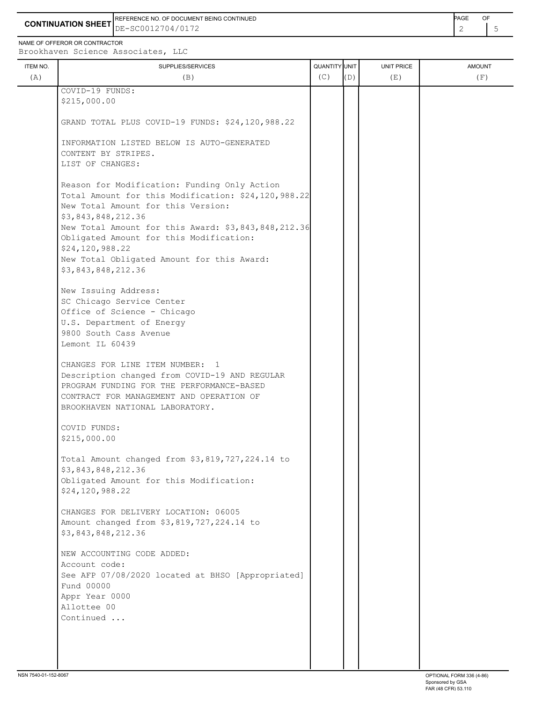**CONTINUATION SHEET** DE-SC0012704/0172 2 3 REFERENCE NO. OF DOCUMENT BEING CONTINUED **AGE ACCUMENT ACCUMENT OF A CONTINUED** 

NAME OF OFFEROR OR CONTRACTOR

| ITEM NO. | SUPPLIES/SERVICES                                                           | QUANTITY UNIT |     | <b>UNIT PRICE</b> | <b>AMOUNT</b> |
|----------|-----------------------------------------------------------------------------|---------------|-----|-------------------|---------------|
| (A)      | (B)                                                                         | (C)           | (D) | (E)               | (F)           |
|          | COVID-19 FUNDS:                                                             |               |     |                   |               |
|          | \$215,000.00                                                                |               |     |                   |               |
|          | GRAND TOTAL PLUS COVID-19 FUNDS: \$24,120,988.22                            |               |     |                   |               |
|          |                                                                             |               |     |                   |               |
|          | INFORMATION LISTED BELOW IS AUTO-GENERATED<br>CONTENT BY STRIPES.           |               |     |                   |               |
|          | LIST OF CHANGES:                                                            |               |     |                   |               |
|          |                                                                             |               |     |                   |               |
|          | Reason for Modification: Funding Only Action                                |               |     |                   |               |
|          | Total Amount for this Modification: \$24,120,988.22                         |               |     |                   |               |
|          | New Total Amount for this Version:                                          |               |     |                   |               |
|          | \$3,843,848,212.36                                                          |               |     |                   |               |
|          | New Total Amount for this Award: \$3,843,848,212.36                         |               |     |                   |               |
|          | Obligated Amount for this Modification:<br>\$24,120,988.22                  |               |     |                   |               |
|          | New Total Obligated Amount for this Award:                                  |               |     |                   |               |
|          | \$3,843,848,212.36                                                          |               |     |                   |               |
|          |                                                                             |               |     |                   |               |
|          | New Issuing Address:                                                        |               |     |                   |               |
|          | SC Chicago Service Center                                                   |               |     |                   |               |
|          | Office of Science - Chicago                                                 |               |     |                   |               |
|          | U.S. Department of Energy<br>9800 South Cass Avenue                         |               |     |                   |               |
|          | Lemont IL 60439                                                             |               |     |                   |               |
|          |                                                                             |               |     |                   |               |
|          | CHANGES FOR LINE ITEM NUMBER: 1                                             |               |     |                   |               |
|          | Description changed from COVID-19 AND REGULAR                               |               |     |                   |               |
|          | PROGRAM FUNDING FOR THE PERFORMANCE-BASED                                   |               |     |                   |               |
|          | CONTRACT FOR MANAGEMENT AND OPERATION OF<br>BROOKHAVEN NATIONAL LABORATORY. |               |     |                   |               |
|          |                                                                             |               |     |                   |               |
|          | COVID FUNDS:                                                                |               |     |                   |               |
|          | \$215,000.00                                                                |               |     |                   |               |
|          |                                                                             |               |     |                   |               |
|          | Total Amount changed from \$3,819,727,224.14 to                             |               |     |                   |               |
|          | \$3,843,848,212.36<br>Obligated Amount for this Modification:               |               |     |                   |               |
|          | \$24,120,988.22                                                             |               |     |                   |               |
|          |                                                                             |               |     |                   |               |
|          | CHANGES FOR DELIVERY LOCATION: 06005                                        |               |     |                   |               |
|          | Amount changed from \$3,819,727,224.14 to                                   |               |     |                   |               |
|          | \$3,843,848,212.36                                                          |               |     |                   |               |
|          | NEW ACCOUNTING CODE ADDED:                                                  |               |     |                   |               |
|          | Account code:                                                               |               |     |                   |               |
|          | See AFP 07/08/2020 located at BHSO [Appropriated]                           |               |     |                   |               |
|          | Fund 00000                                                                  |               |     |                   |               |
|          | Appr Year 0000                                                              |               |     |                   |               |
|          | Allottee 00                                                                 |               |     |                   |               |
|          | Continued                                                                   |               |     |                   |               |
|          |                                                                             |               |     |                   |               |
|          |                                                                             |               |     |                   |               |
|          |                                                                             |               |     |                   |               |
|          |                                                                             |               |     |                   |               |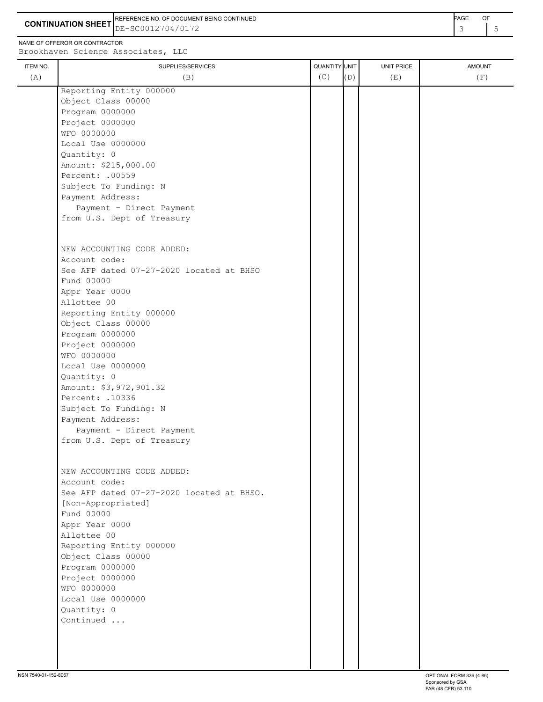**CONTINUATION SHEET** DE-SC0012704/0172 3 3 3 REFERENCE NO. OF DOCUMENT BEING CONTINUED **A CONTINUED PAGE OF PAGE OF PAGE OF PAGE** 

NAME OF OFFEROR OR CONTRACTOR

## ITEM NO. ┃ SUPPLIES/SERVICES UNIT PRICE AMOUNT Brookhaven Science Associates, LLC (A)  $(B)$  (B)  $(C)$   $(D)$  (E)  $(E)$  (F) Reporting Entity 000000 Object Class 00000 Program 0000000 Project 0000000 WFO 0000000 Local Use 0000000 Quantity: 0 Amount: \$215,000.00 Percent: .00559 Subject To Funding: N Payment Address: Payment - Direct Payment from U.S. Dept of Treasury NEW ACCOUNTING CODE ADDED: Account code: See AFP dated 07-27-2020 located at BHSO Fund 00000 Appr Year 0000 Allottee 00 Reporting Entity 000000 Object Class 00000 Program 0000000 Project 0000000 WFO 0000000 Local Use 0000000 Quantity: 0 Amount: \$3,972,901.32 Percent: .10336 Subject To Funding: N Payment Address: Payment - Direct Payment from U.S. Dept of Treasury NEW ACCOUNTING CODE ADDED: Account code: See AFP dated 07-27-2020 located at BHSO. [Non-Appropriated] Fund 00000 Appr Year 0000 Allottee 00 Reporting Entity 000000 Object Class 00000 Program 0000000 Project 0000000 WFO 0000000 Local Use 0000000 Quantity: 0 Continued ...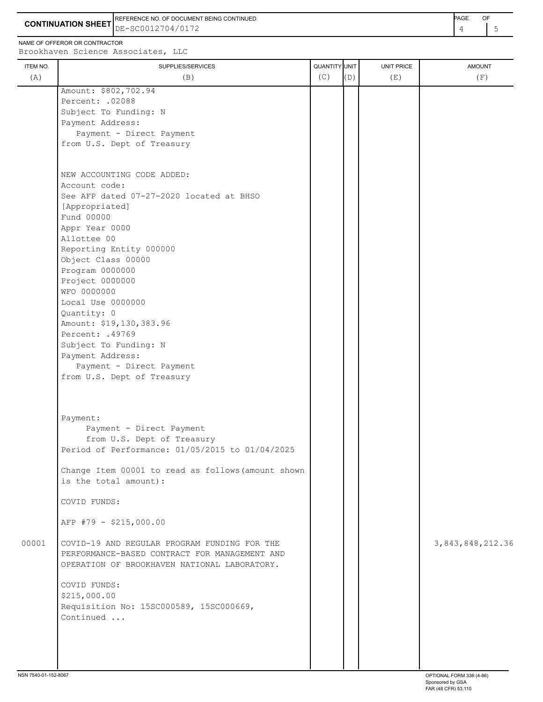4 5 **CONTINUATION SHEET** DE-SC0012704/0172 REFERENCE NO. OF DOCUMENT BEING CONTINUED **A CONTINUED PAGE OF PAGE OF PAGE OF PAGE** 

NAME OF OFFEROR OR CONTRACTOR

ITEM NO. ┃ SUPPLIES/SERVICES UNIT PRICE AMOUNT Brookhaven Science Associates, LLC (A)  $(B)$  (B)  $(C)$   $(D)$  (E)  $(E)$  (F) Amount: \$802,702.94 Percent: .02088 Subject To Funding: N Payment Address: Payment - Direct Payment from U.S. Dept of Treasury NEW ACCOUNTING CODE ADDED: Account code: See AFP dated 07-27-2020 located at BHSO [Appropriated] Fund 00000 Appr Year 0000 Allottee 00 Reporting Entity 000000 Object Class 00000 Program 0000000 Project 0000000 WFO 0000000 Local Use 0000000 Quantity: 0 Amount: \$19,130,383.96 Percent: .49769 Subject To Funding: N Payment Address: Payment - Direct Payment from U.S. Dept of Treasury Payment: Payment - Direct Payment from U.S. Dept of Treasury Period of Performance: 01/05/2015 to 01/04/2025 Change Item 00001 to read as follows(amount shown is the total amount): COVID FUNDS: AFP #79 - \$215,000.00 00001 COVID-19 AND REGULAR PROGRAM FUNDING FOR THE  $\vert$  | | 3,843,848,212.36 PERFORMANCE-BASED CONTRACT FOR MANAGEMENT AND OPERATION OF BROOKHAVEN NATIONAL LABORATORY. COVID FUNDS: \$215,000.00 Requisition No: 15SC000589, 15SC000669, Continued ...